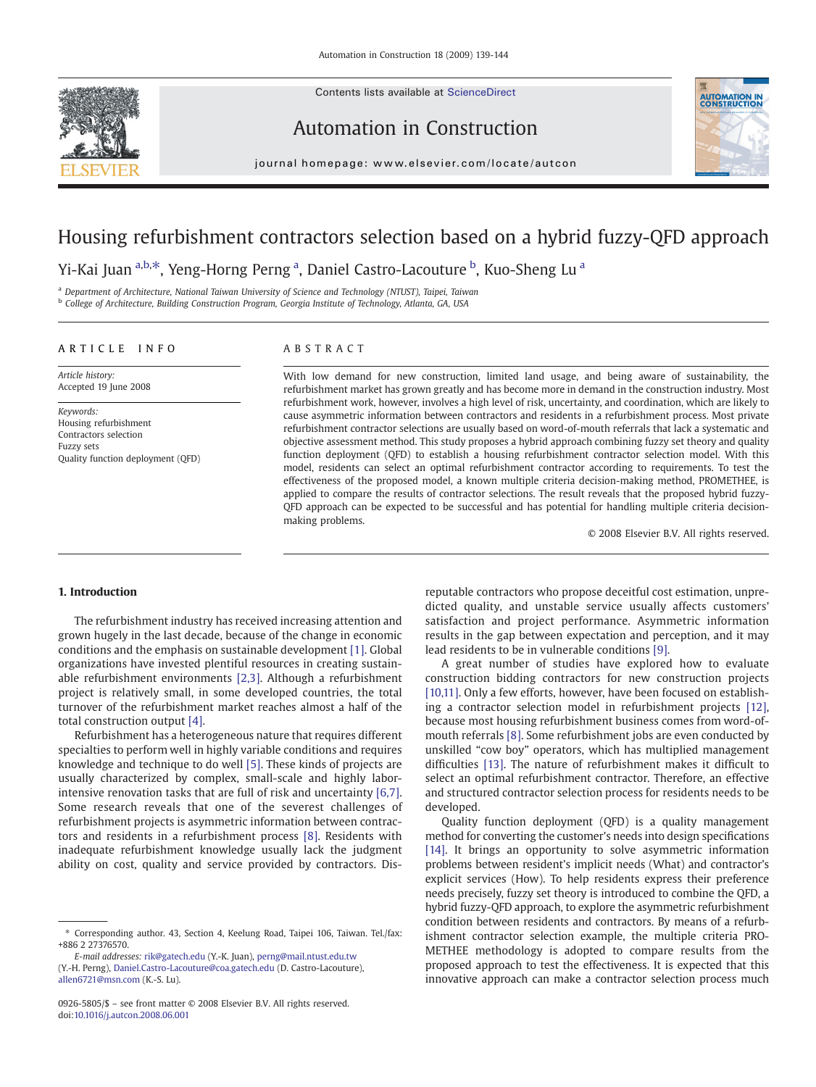Contents lists available at ScienceDirect



Automation in Construction



 $j$  o u r n a l  $j$  of  $\alpha$  is even  $\alpha$  that is evidence on  $\alpha$  that  $\alpha$  is  $\alpha$  the  $\alpha$  th continuous  $\alpha$ 

## Housing refurbishment contractors selection based on a hybrid fuzzy-QFD approach

Yi-Kai Juan <sup>a,b, $\ast$ , Yeng-Horng Perng <sup>a</sup>, Daniel Castro-Lacouture <sup>b</sup>, Kuo-Sheng Lu <sup>a</sup></sup>

<sup>a</sup> Department of Architecture, National Taiwan University of Science and Technology (NTUST), Taipei, Taiwan

<sup>b</sup> College of Architecture, Building Construction Program, Georgia Institute of Technology, Atlanta, GA, USA

#### ARTICLE INFO ABSTRACT

Article history: Accepted 19 June 2008

Keywords: Housing refurbishment Contractors selection Fuzzy sets Quality function deployment (QFD)

With low demand for new construction, limited land usage, and being aware of sustainability, the refurbishment market has grown greatly and has become more in demand in the construction industry. Most refurbishment work, however, involves a high level of risk, uncertainty, and coordination, which are likely to cause asymmetric information between contractors and residents in a refurbishment process. Most private refurbishment contractor selections are usually based on word-of-mouth referrals that lack a systematic and objective assessment method. This study proposes a hybrid approach combining fuzzy set theory and quality function deployment (QFD) to establish a housing refurbishment contractor selection model. With this model, residents can select an optimal refurbishment contractor according to requirements. To test the effectiveness of the proposed model, a known multiple criteria decision-making method, PROMETHEE, is applied to compare the results of contractor selections. The result reveals that the proposed hybrid fuzzy-QFD approach can be expected to be successful and has potential for handling multiple criteria decisionmaking problems.

© 2008 Elsevier B.V. All rights reserved.

### 1. Introduction

The refurbishment industry has received increasing attention and grown hugely in the last decade, because of the change in economic conditions and the emphasis on sustainable development [\[1\]](#page--1-0). Global organizations have invested plentiful resources in creating sustainable refurbishment environments [\[2,3\].](#page--1-0) Although a refurbishment project is relatively small, in some developed countries, the total turnover of the refurbishment market reaches almost a half of the total construction output [\[4\].](#page--1-0)

Refurbishment has a heterogeneous nature that requires different specialties to perform well in highly variable conditions and requires knowledge and technique to do well [\[5\]](#page--1-0). These kinds of projects are usually characterized by complex, small-scale and highly laborintensive renovation tasks that are full of risk and uncertainty [\[6,7\].](#page--1-0) Some research reveals that one of the severest challenges of refurbishment projects is asymmetric information between contractors and residents in a refurbishment process [\[8\]](#page--1-0). Residents with inadequate refurbishment knowledge usually lack the judgment ability on cost, quality and service provided by contractors. Dis-

E-mail addresses: [rik@gatech.edu](mailto:rik@gatech.edu) (Y.-K. Juan), [perng@mail.ntust.edu.tw](mailto:perng@mail.ntust.edu.tw) (Y.-H. Perng), [Daniel.Castro-Lacouture@coa.gatech.edu](mailto:Daniel.Castro-Lacouture@coa.gatech.edu) (D. Castro-Lacouture), [allen6721@msn.com](mailto:allen6721@msn.com) (K.-S. Lu).

reputable contractors who propose deceitful cost estimation, unpredicted quality, and unstable service usually affects customers' satisfaction and project performance. Asymmetric information results in the gap between expectation and perception, and it may lead residents to be in vulnerable conditions [\[9\]](#page--1-0).

A great number of studies have explored how to evaluate construction bidding contractors for new construction projects [\[10,11\].](#page--1-0) Only a few efforts, however, have been focused on establishing a contractor selection model in refurbishment projects [\[12\],](#page--1-0) because most housing refurbishment business comes from word-ofmouth referrals [\[8\]](#page--1-0). Some refurbishment jobs are even conducted by unskilled "cow boy" operators, which has multiplied management difficulties [\[13\].](#page--1-0) The nature of refurbishment makes it difficult to select an optimal refurbishment contractor. Therefore, an effective and structured contractor selection process for residents needs to be developed.

Quality function deployment (QFD) is a quality management method for converting the customer's needs into design specifications [\[14\]](#page--1-0). It brings an opportunity to solve asymmetric information problems between resident's implicit needs (What) and contractor's explicit services (How). To help residents express their preference needs precisely, fuzzy set theory is introduced to combine the QFD, a hybrid fuzzy-QFD approach, to explore the asymmetric refurbishment condition between residents and contractors. By means of a refurbishment contractor selection example, the multiple criteria PRO-METHEE methodology is adopted to compare results from the proposed approach to test the effectiveness. It is expected that this innovative approach can make a contractor selection process much

<sup>⁎</sup> Corresponding author. 43, Section 4, Keelung Road, Taipei 106, Taiwan. Tel./fax: +886 2 27376570.

<sup>0926-5805/\$</sup> – see front matter © 2008 Elsevier B.V. All rights reserved. doi:[10.1016/j.autcon.2008.06.001](http://dx.doi.org/10.1016/j.autcon.2008.06.001)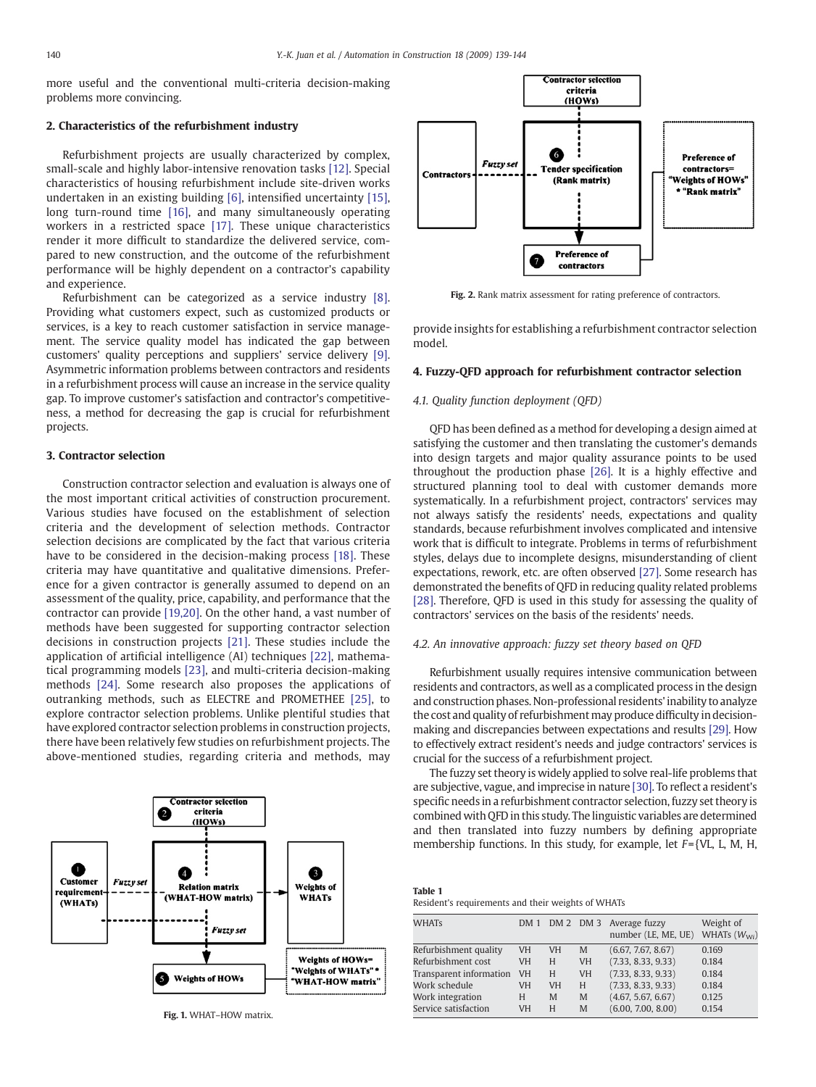more useful and the conventional multi-criteria decision-making problems more convincing.

#### 2. Characteristics of the refurbishment industry

Refurbishment projects are usually characterized by complex, small-scale and highly labor-intensive renovation tasks [\[12\].](#page--1-0) Special characteristics of housing refurbishment include site-driven works undertaken in an existing building [\[6\]](#page--1-0), intensified uncertainty [\[15\],](#page--1-0) long turn-round time [\[16\],](#page--1-0) and many simultaneously operating workers in a restricted space [\[17\].](#page--1-0) These unique characteristics render it more difficult to standardize the delivered service, compared to new construction, and the outcome of the refurbishment performance will be highly dependent on a contractor's capability and experience.

Refurbishment can be categorized as a service industry [\[8\].](#page--1-0) Providing what customers expect, such as customized products or services, is a key to reach customer satisfaction in service management. The service quality model has indicated the gap between customers' quality perceptions and suppliers' service delivery [\[9\].](#page--1-0) Asymmetric information problems between contractors and residents in a refurbishment process will cause an increase in the service quality gap. To improve customer's satisfaction and contractor's competitiveness, a method for decreasing the gap is crucial for refurbishment projects.

#### 3. Contractor selection

Construction contractor selection and evaluation is always one of the most important critical activities of construction procurement. Various studies have focused on the establishment of selection criteria and the development of selection methods. Contractor selection decisions are complicated by the fact that various criteria have to be considered in the decision-making process [\[18\]](#page--1-0). These criteria may have quantitative and qualitative dimensions. Preference for a given contractor is generally assumed to depend on an assessment of the quality, price, capability, and performance that the contractor can provide [\[19,20\].](#page--1-0) On the other hand, a vast number of methods have been suggested for supporting contractor selection decisions in construction projects [\[21\].](#page--1-0) These studies include the application of artificial intelligence (AI) techniques [\[22\],](#page--1-0) mathematical programming models [\[23\],](#page--1-0) and multi-criteria decision-making methods [\[24\].](#page--1-0) Some research also proposes the applications of outranking methods, such as ELECTRE and PROMETHEE [\[25\]](#page--1-0), to explore contractor selection problems. Unlike plentiful studies that have explored contractor selection problems in construction projects, there have been relatively few studies on refurbishment projects. The above-mentioned studies, regarding criteria and methods, may



Fig. 1. WHAT–HOW matrix.



Fig. 2. Rank matrix assessment for rating preference of contractors.

provide insights for establishing a refurbishment contractor selection model.

#### 4. Fuzzy-QFD approach for refurbishment contractor selection

#### 4.1. Quality function deployment (QFD)

QFD has been defined as a method for developing a design aimed at satisfying the customer and then translating the customer's demands into design targets and major quality assurance points to be used throughout the production phase [\[26\].](#page--1-0) It is a highly effective and structured planning tool to deal with customer demands more systematically. In a refurbishment project, contractors' services may not always satisfy the residents' needs, expectations and quality standards, because refurbishment involves complicated and intensive work that is difficult to integrate. Problems in terms of refurbishment styles, delays due to incomplete designs, misunderstanding of client expectations, rework, etc. are often observed [\[27\]](#page--1-0). Some research has demonstrated the benefits of QFD in reducing quality related problems [\[28\]](#page--1-0). Therefore, QFD is used in this study for assessing the quality of contractors' services on the basis of the residents' needs.

#### 4.2. An innovative approach: fuzzy set theory based on QFD

Refurbishment usually requires intensive communication between residents and contractors, as well as a complicated process in the design and construction phases. Non-professional residents' inability to analyze the cost and quality of refurbishment may produce difficulty in decisionmaking and discrepancies between expectations and results [\[29\].](#page--1-0) How to effectively extract resident's needs and judge contractors' services is crucial for the success of a refurbishment project.

The fuzzy set theory is widely applied to solve real-life problems that are subjective, vague, and imprecise in nature [\[30\].](#page--1-0) To reflect a resident's specific needs in a refurbishment contractor selection, fuzzy set theory is combined with QFD in this study. The linguistic variables are determined and then translated into fuzzy numbers by defining appropriate membership functions. In this study, for example, let  $F = \{VL, L, M, H,$ 

| Table 1                                            |  |
|----------------------------------------------------|--|
| Resident's requirements and their weights of WHATs |  |

| <b>WHATs</b>            |           |           |           | DM 1 DM 2 DM 3 Average fuzzy<br>number (LE, ME, UE) | Weight of<br>WHATs $(W_{wi})$ |
|-------------------------|-----------|-----------|-----------|-----------------------------------------------------|-------------------------------|
| Refurbishment quality   | <b>VH</b> | <b>VH</b> | M         | (6.67, 7.67, 8.67)                                  | 0.169                         |
| Refurbishment cost      | <b>VH</b> | H         | <b>VH</b> | (7.33, 8.33, 9.33)                                  | 0.184                         |
| Transparent information | <b>VH</b> | H         | <b>VH</b> | (7.33, 8.33, 9.33)                                  | 0.184                         |
| Work schedule           | VH        | <b>VH</b> | H         | (7.33, 8.33, 9.33)                                  | 0.184                         |
| Work integration        | H         | M         | M         | (4.67, 5.67, 6.67)                                  | 0.125                         |
| Service satisfaction    | <b>VH</b> | H         | M         | (6.00, 7.00, 8.00)                                  | 0.154                         |